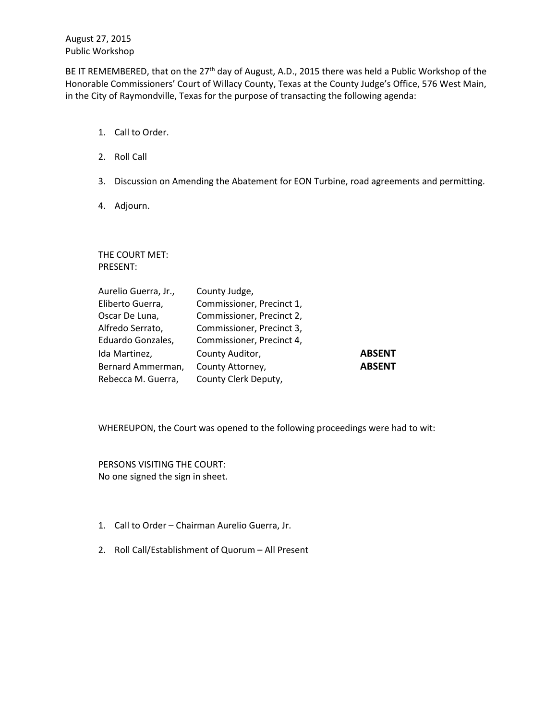August 27, 2015 Public Workshop

BE IT REMEMBERED, that on the 27<sup>th</sup> day of August, A.D., 2015 there was held a Public Workshop of the Honorable Commissioners' Court of Willacy County, Texas at the County Judge's Office, 576 West Main, in the City of Raymondville, Texas for the purpose of transacting the following agenda:

- 1. Call to Order.
- 2. Roll Call
- 3. Discussion on Amending the Abatement for EON Turbine, road agreements and permitting.
- 4. Adjourn.

THE COURT MET: PRESENT:

| Aurelio Guerra, Jr., | County Judge,             |               |
|----------------------|---------------------------|---------------|
| Eliberto Guerra,     | Commissioner, Precinct 1, |               |
| Oscar De Luna,       | Commissioner, Precinct 2, |               |
| Alfredo Serrato,     | Commissioner, Precinct 3, |               |
| Eduardo Gonzales,    | Commissioner, Precinct 4, |               |
| Ida Martinez,        | County Auditor,           | <b>ABSENT</b> |
| Bernard Ammerman,    | County Attorney,          | <b>ABSENT</b> |
| Rebecca M. Guerra,   | County Clerk Deputy,      |               |

WHEREUPON, the Court was opened to the following proceedings were had to wit:

PERSONS VISITING THE COURT: No one signed the sign in sheet.

- 1. Call to Order Chairman Aurelio Guerra, Jr.
- 2. Roll Call/Establishment of Quorum All Present